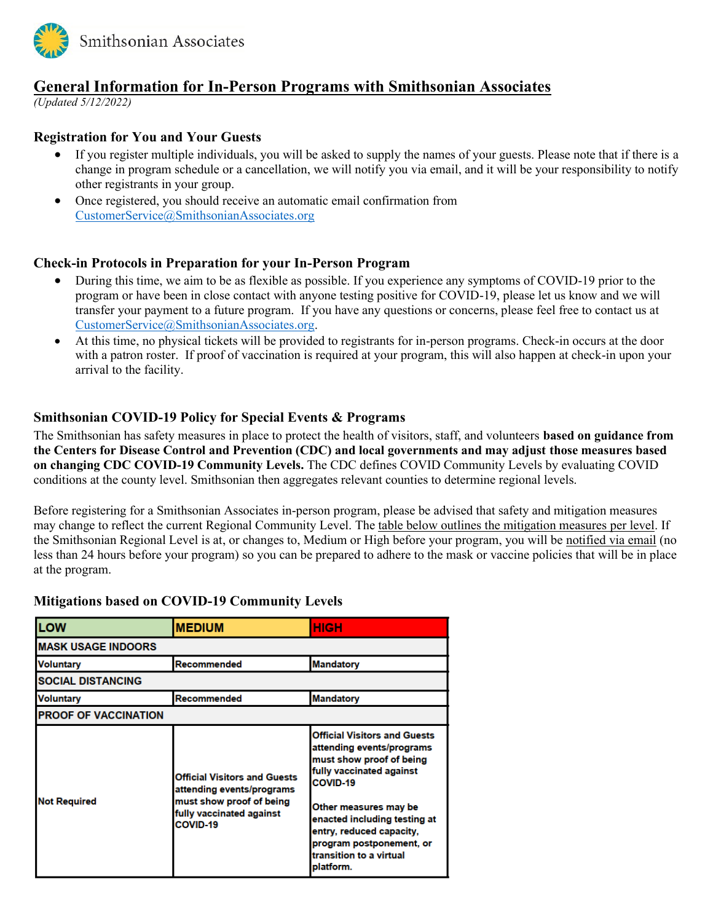

# **General Information for In-Person Programs with Smithsonian Associates**

*(Updated 5/12/2022)*

## **Registration for You and Your Guests**

- If you register multiple individuals, you will be asked to supply the names of your guests. Please note that if there is a change in program schedule or a cancellation, we will notify you via email, and it will be your responsibility to notify other registrants in your group.
- Once registered, you should receive an automatic email confirmation from [CustomerService@SmithsonianAssociates.org](mailto:CustomerService@SmithsonianAssociates.org)

#### **Check-in Protocols in Preparation for your In-Person Program**

- During this time, we aim to be as flexible as possible. If you experience any symptoms of COVID-19 prior to the program or have been in close contact with anyone testing positive for COVID-19, please let us know and we will transfer your payment to a future program. If you have any questions or concerns, please feel free to contact us at [CustomerService@SmithsonianAssociates.org.](mailto:CustomerService@SmithsonianAssociates.org)
- At this time, no physical tickets will be provided to registrants for in-person programs. Check-in occurs at the door with a patron roster. If proof of vaccination is required at your program, this will also happen at check-in upon your arrival to the facility.

## **Smithsonian COVID-19 Policy for Special Events & Programs**

The Smithsonian has safety measures in place to protect the health of visitors, staff, and volunteers **based on guidance from the Centers for Disease Control and Prevention (CDC) and local governments and may adjust those measures based on changing CDC COVID-19 Community Levels.** The CDC defines COVID Community Levels by evaluating COVID conditions at the county level. Smithsonian then aggregates relevant counties to determine regional levels.

Before registering for a Smithsonian Associates in-person program, please be advised that safety and mitigation measures may change to reflect the current Regional Community Level. The table below outlines the mitigation measures per level. If the Smithsonian Regional Level is at, or changes to, Medium or High before your program, you will be notified via email (no less than 24 hours before your program) so you can be prepared to adhere to the mask or vaccine policies that will be in place at the program.

## **Mitigations based on COVID-19 Community Levels**

| LOW                         | <b>MEDIUM</b>                                                                                                                               | <b>HIGH</b>                                                                                                                                                                                                                                                                                   |
|-----------------------------|---------------------------------------------------------------------------------------------------------------------------------------------|-----------------------------------------------------------------------------------------------------------------------------------------------------------------------------------------------------------------------------------------------------------------------------------------------|
| <b>MASK USAGE INDOORS</b>   |                                                                                                                                             |                                                                                                                                                                                                                                                                                               |
| Voluntary                   | Recommended                                                                                                                                 | <b>Mandatory</b>                                                                                                                                                                                                                                                                              |
| <b>SOCIAL DISTANCING</b>    |                                                                                                                                             |                                                                                                                                                                                                                                                                                               |
| Voluntary                   | Recommended                                                                                                                                 | <b>Mandatory</b>                                                                                                                                                                                                                                                                              |
| <b>PROOF OF VACCINATION</b> |                                                                                                                                             |                                                                                                                                                                                                                                                                                               |
| <b>Not Required</b>         | <b>Official Visitors and Guests</b><br>attending events/programs<br>must show proof of being<br>fully vaccinated against<br><b>COVID-19</b> | <b>Official Visitors and Guests</b><br>attending events/programs<br>must show proof of being<br>fully vaccinated against<br>COVID-19<br>Other measures may be<br>enacted including testing at<br>entry, reduced capacity,<br>program postponement, or<br>transition to a virtual<br>platform. |